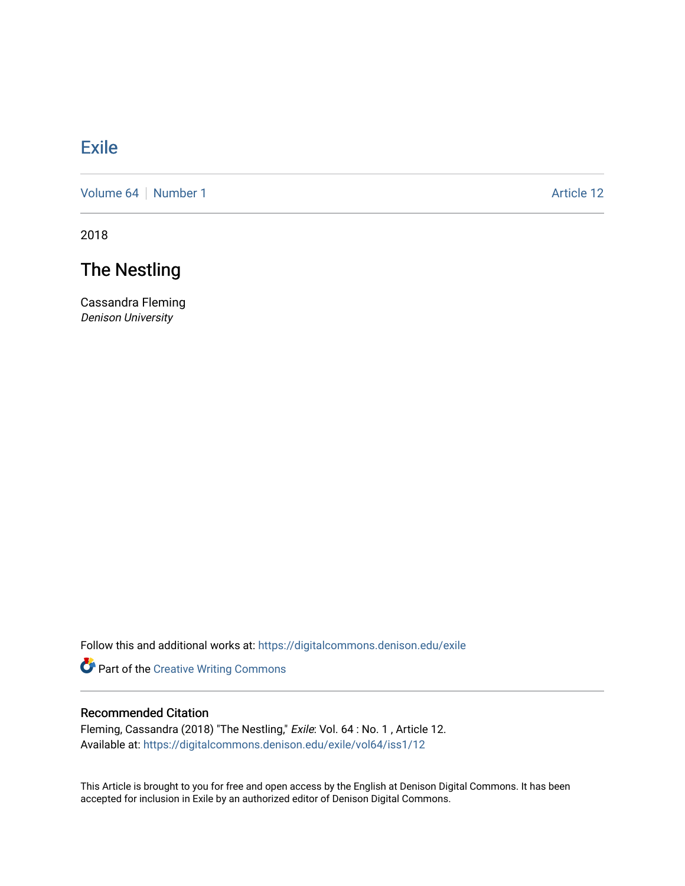## **[Exile](https://digitalcommons.denison.edu/exile)**

[Volume 64](https://digitalcommons.denison.edu/exile/vol64) [Number 1](https://digitalcommons.denison.edu/exile/vol64/iss1) Article 12

2018

## The Nestling

Cassandra Fleming Denison University

Follow this and additional works at: [https://digitalcommons.denison.edu/exile](https://digitalcommons.denison.edu/exile?utm_source=digitalcommons.denison.edu%2Fexile%2Fvol64%2Fiss1%2F12&utm_medium=PDF&utm_campaign=PDFCoverPages) 

Part of the [Creative Writing Commons](http://network.bepress.com/hgg/discipline/574?utm_source=digitalcommons.denison.edu%2Fexile%2Fvol64%2Fiss1%2F12&utm_medium=PDF&utm_campaign=PDFCoverPages) 

## Recommended Citation

Fleming, Cassandra (2018) "The Nestling," Exile: Vol. 64 : No. 1 , Article 12. Available at: [https://digitalcommons.denison.edu/exile/vol64/iss1/12](https://digitalcommons.denison.edu/exile/vol64/iss1/12?utm_source=digitalcommons.denison.edu%2Fexile%2Fvol64%2Fiss1%2F12&utm_medium=PDF&utm_campaign=PDFCoverPages)

This Article is brought to you for free and open access by the English at Denison Digital Commons. It has been accepted for inclusion in Exile by an authorized editor of Denison Digital Commons.